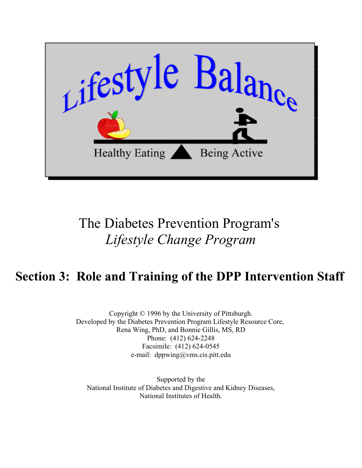

# The Diabetes Prevention Program's *Lifestyle Change Program*

## **Section 3: Role and Training of the DPP Intervention Staff**

Copyright © 1996 by the University of Pittsburgh. Developed by the Diabetes Prevention Program Lifestyle Resource Core, Rena Wing, PhD, and Bonnie Gillis, MS, RD Phone: (412) 624-2248 Facsimile: (412) 624-0545 e-mail: dppwing@vms.cis.pitt.edu

Supported by the [National Institute of Diabetes and Digestive and Kidney Diseases,](http://www.niddk.nih.gov) [National Institutes of Health.](http://www.nih.gov)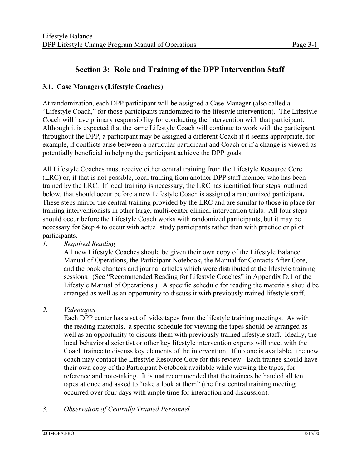### **Section 3: Role and Training of the DPP Intervention Staff**

#### **3.1. Case Managers (Lifestyle Coaches)**

At randomization, each DPP participant will be assigned a Case Manager (also called a "Lifestyle Coach," for those participants randomized to the lifestyle intervention). The Lifestyle Coach will have primary responsibility for conducting the intervention with that participant. Although it is expected that the same Lifestyle Coach will continue to work with the participant throughout the DPP, a participant may be assigned a different Coach if it seems appropriate, for example, if conflicts arise between a particular participant and Coach or if a change is viewed as potentially beneficial in helping the participant achieve the DPP goals.

All Lifestyle Coaches must receive either central training from the Lifestyle Resource Core (LRC) or, if that is not possible, local training from another DPP staff member who has been trained by the LRC. If local training is necessary, the LRC has identified four steps, outlined below, that should occur before a new Lifestyle Coach is assigned a randomized participant**.**  These steps mirror the central training provided by the LRC and are similar to those in place for training interventionists in other large, multi-center clinical intervention trials. All four steps should occur before the Lifestyle Coach works with randomized participants, but it may be necessary for Step 4 to occur with actual study participants rather than with practice or pilot participants.

#### *1. Required Reading*

All new Lifestyle Coaches should be given their own copy of the Lifestyle Balance Manual of Operations, the Participant Notebook, the Manual for Contacts After Core, and the book chapters and journal articles which were distributed at the lifestyle training sessions. (See "Recommended Reading for Lifestyle Coaches" in Appendix D.1 of the Lifestyle Manual of Operations.) A specific schedule for reading the materials should be arranged as well as an opportunity to discuss it with previously trained lifestyle staff.

#### *2. Videotapes*

Each DPP center has a set of videotapes from the lifestyle training meetings. As with the reading materials, a specific schedule for viewing the tapes should be arranged as well as an opportunity to discuss them with previously trained lifestyle staff. Ideally, the local behavioral scientist or other key lifestyle intervention experts will meet with the Coach trainee to discuss key elements of the intervention. If no one is available, the new coach may contact the Lifestyle Resource Core for this review. Each trainee should have their own copy of the Participant Notebook available while viewing the tapes, for reference and note-taking. It is **not** recommended that the trainees be handed all ten tapes at once and asked to "take a look at them" (the first central training meeting occurred over four days with ample time for interaction and discussion).

#### *3. Observation of Centrally Trained Personnel*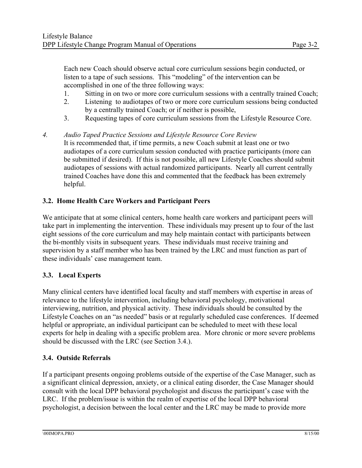Each new Coach should observe actual core curriculum sessions begin conducted, or listen to a tape of such sessions. This "modeling" of the intervention can be accomplished in one of the three following ways:

- 1. Sitting in on two or more core curriculum sessions with a centrally trained Coach;
- 2. Listening to audiotapes of two or more core curriculum sessions being conducted by a centrally trained Coach; or if neither is possible,
- 3. Requesting tapes of core curriculum sessions from the Lifestyle Resource Core.
- *4. Audio Taped Practice Sessions and Lifestyle Resource Core Review*  It is recommended that, if time permits, a new Coach submit at least one or two audiotapes of a core curriculum session conducted with practice participants (more can be submitted if desired). If this is not possible, all new Lifestyle Coaches should submit audiotapes of sessions with actual randomized participants. Nearly all current centrally trained Coaches have done this and commented that the feedback has been extremely helpful.

#### **3.2. Home Health Care Workers and Participant Peers**

We anticipate that at some clinical centers, home health care workers and participant peers will take part in implementing the intervention. These individuals may present up to four of the last eight sessions of the core curriculum and may help maintain contact with participants between the bi-monthly visits in subsequent years. These individuals must receive training and supervision by a staff member who has been trained by the LRC and must function as part of these individuals' case management team.

#### **3.3. Local Experts**

Many clinical centers have identified local faculty and staff members with expertise in areas of relevance to the lifestyle intervention, including behavioral psychology, motivational interviewing, nutrition, and physical activity. These individuals should be consulted by the Lifestyle Coaches on an "as needed" basis or at regularly scheduled case conferences. If deemed helpful or appropriate, an individual participant can be scheduled to meet with these local experts for help in dealing with a specific problem area. More chronic or more severe problems should be discussed with the LRC (see Section 3.4.).

#### **3.4. Outside Referrals**

If a participant presents ongoing problems outside of the expertise of the Case Manager, such as a significant clinical depression, anxiety, or a clinical eating disorder, the Case Manager should consult with the local DPP behavioral psychologist and discuss the participant's case with the LRC. If the problem/issue is within the realm of expertise of the local DPP behavioral psychologist, a decision between the local center and the LRC may be made to provide more